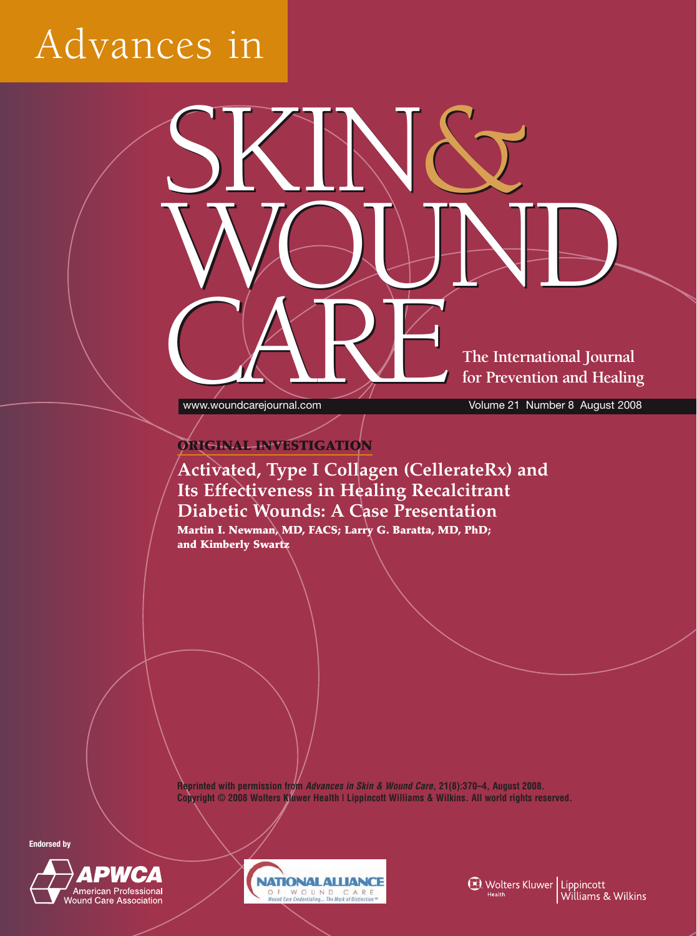# Advances in

**The International Journal for Prevention and Healing**

**CARE** WWW.Woundcarejournal.com

www.woundcarejournal.com Volume 21 Number 8 August 2008

#### **ORIGINAL INVESTIGATION**

### **Activated, Type I Collagen (CellerateRx) and Its Effectiveness in Healing Recalcitrant Diabetic Wounds: A Case Presentation**

SKIN&

SKIN&

WOUND

WOUND

**Martin I. Newman, MD, FACS; Larry G. Baratta, MD, PhD; and Kimberly Swartz**

**Reprinted with permission from** *Advances in Skin & Wound Care***, 21(8):370–4, August 2008. Copyright © 2008 Wolters Kluwer Health | Lippincott Williams & Wilkins. All world rights reserved.**





**1** Wolters Kluwer | Lippincott<br>Williams & Wilkins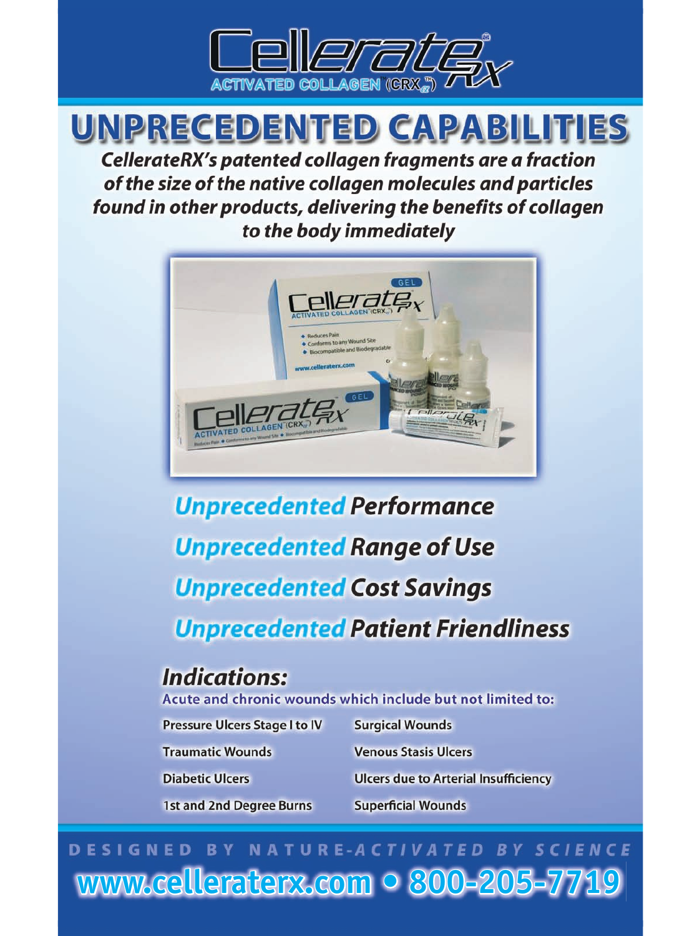

## UNPRECEDENTED CAPABILITIES

CellerateRX's patented collagen fragments are a fraction of the size of the native collagen molecules and particles found in other products, delivering the benefits of collagen to the body immediately



# **Unprecedented Performance Unprecedented Range of Use Unprecedented Cost Savings Unprecedented Patient Friendliness**

## **Indications:**

Acute and chronic wounds which include but not limited to:

| Pressure Ulcers Stage I to IV<br><b>Traumatic Wounds</b><br><b>Diabetic Ulcers</b><br>1st and 2nd Degree Burns | <b>Surgical Wounds</b><br><b>Venous Stasis Ulcers</b><br><b>Ulcers due to Arterial Insufficiency</b> |                           |
|----------------------------------------------------------------------------------------------------------------|------------------------------------------------------------------------------------------------------|---------------------------|
|                                                                                                                |                                                                                                      | <b>Superficial Wounds</b> |

## DESIGNED BY NATURE-ACTIVATED BY SCIENCE www.celleraterx.com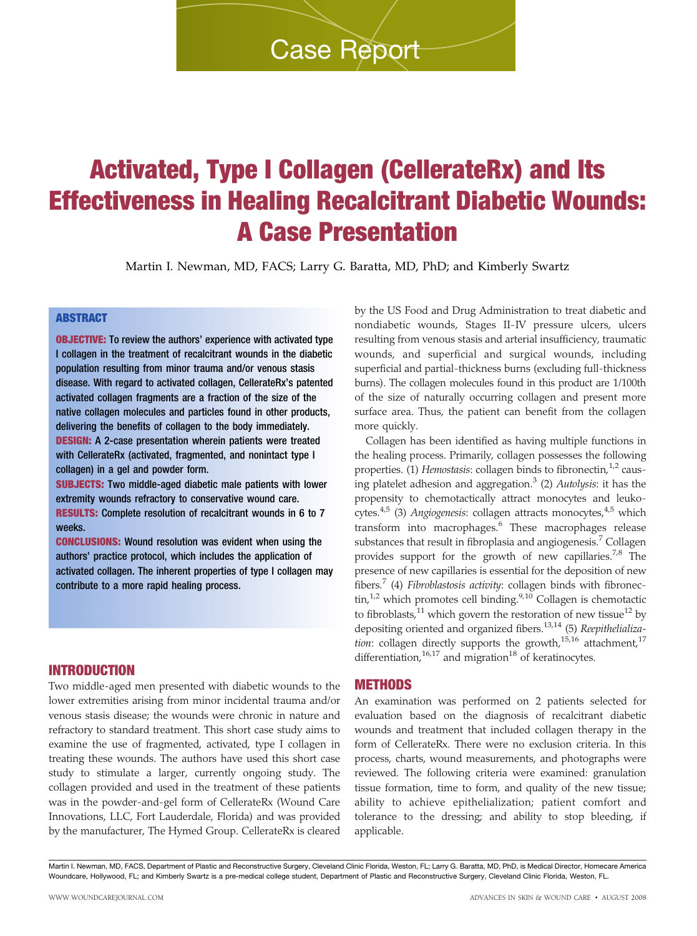## Activated, Type I Collagen (CellerateRx) and Its Effectiveness in Healing Recalcitrant Diabetic Wounds: A Case Presentation

Martin I. Newman, MD, FACS; Larry G. Baratta, MD, PhD; and Kimberly Swartz

#### ABSTRACT

**OBJECTIVE:** To review the authors' experience with activated type I collagen in the treatment of recalcitrant wounds in the diabetic population resulting from minor trauma and/or venous stasis disease. With regard to activated collagen, CellerateRx's patented activated collagen fragments are a fraction of the size of the native collagen molecules and particles found in other products, delivering the benefits of collagen to the body immediately. DESIGN: A 2-case presentation wherein patients were treated with CellerateRx (activated, fragmented, and nonintact type I collagen) in a gel and powder form.

SUBJECTS: Two middle-aged diabetic male patients with lower extremity wounds refractory to conservative wound care. RESULTS: Complete resolution of recalcitrant wounds in 6 to 7 weeks.

CONCLUSIONS: Wound resolution was evident when using the authors' practice protocol, which includes the application of activated collagen. The inherent properties of type I collagen may contribute to a more rapid healing process.

INTRODUCTION

Two middle-aged men presented with diabetic wounds to the lower extremities arising from minor incidental trauma and/or venous stasis disease; the wounds were chronic in nature and refractory to standard treatment. This short case study aims to examine the use of fragmented, activated, type I collagen in treating these wounds. The authors have used this short case study to stimulate a larger, currently ongoing study. The collagen provided and used in the treatment of these patients was in the powder-and-gel form of CellerateRx (Wound Care Innovations, LLC, Fort Lauderdale, Florida) and was provided by the manufacturer, The Hymed Group. CellerateRx is cleared

by the US Food and Drug Administration to treat diabetic and nondiabetic wounds, Stages II-IV pressure ulcers, ulcers resulting from venous stasis and arterial insufficiency, traumatic wounds, and superficial and surgical wounds, including superficial and partial-thickness burns (excluding full-thickness burns). The collagen molecules found in this product are 1/100th of the size of naturally occurring collagen and present more surface area. Thus, the patient can benefit from the collagen more quickly.

Collagen has been identified as having multiple functions in the healing process. Primarily, collagen possesses the following properties. (1) Hemostasis: collagen binds to fibronectin, <sup>1,2</sup> causing platelet adhesion and aggregation.<sup>3</sup> (2) Autolysis: it has the propensity to chemotactically attract monocytes and leukocytes. $4,5$  (3) Angiogenesis: collagen attracts monocytes, $4,5$  which transform into macrophages.<sup>6</sup> These macrophages release substances that result in fibroplasia and angiogenesis.<sup>7</sup> Collagen provides support for the growth of new capillaries.<sup>7,8</sup> The presence of new capillaries is essential for the deposition of new fibers.<sup>7</sup> (4) Fibroblastosis activity: collagen binds with fibronectin,<sup>1,2</sup> which promotes cell binding.<sup>9,10</sup> Collagen is chemotactic  $\sin$ ,<sup>1,2</sup> to fibroblasts, $11$  which govern the restoration of new tissue $12$  by depositing oriented and organized fibers.<sup>13,14</sup> (5) Reepithelialization: collagen directly supports the growth, $15,16$  attachment, $17$ differentiation, $16,17$  and migration<sup>18</sup> of keratinocytes.

#### METHODS

An examination was performed on 2 patients selected for evaluation based on the diagnosis of recalcitrant diabetic wounds and treatment that included collagen therapy in the form of CellerateRx. There were no exclusion criteria. In this process, charts, wound measurements, and photographs were reviewed. The following criteria were examined: granulation tissue formation, time to form, and quality of the new tissue; ability to achieve epithelialization; patient comfort and tolerance to the dressing; and ability to stop bleeding, if applicable.

Martin I. Newman, MD, FACS, Department of Plastic and Reconstructive Surgery, Cleveland Clinic Florida, Weston, FL; Larry G. Baratta, MD, PhD, is Medical Director, Homecare America Woundcare, Hollywood, FL; and Kimberly Swartz is a pre-medical college student, Department of Plastic and Reconstructive Surgery, Cleveland Clinic Florida, Weston, FL.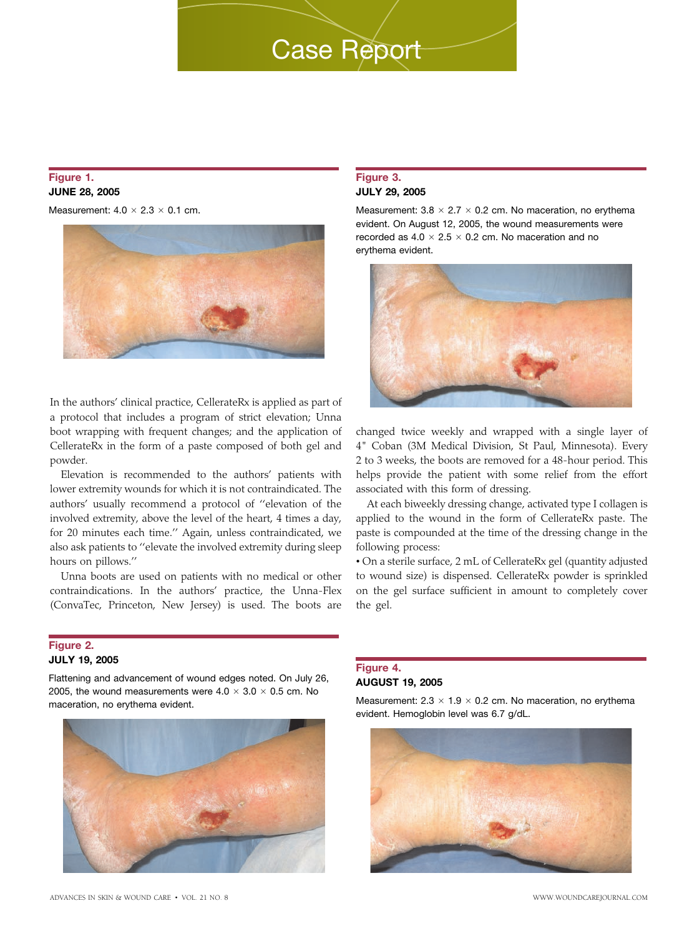#### Figure 1. JUNE 28, 2005

Measurement:  $4.0 \times 2.3 \times 0.1$  cm.



In the authors' clinical practice, CellerateRx is applied as part of a protocol that includes a program of strict elevation; Unna boot wrapping with frequent changes; and the application of CellerateRx in the form of a paste composed of both gel and powder.

Elevation is recommended to the authors' patients with lower extremity wounds for which it is not contraindicated. The authors' usually recommend a protocol of ''elevation of the involved extremity, above the level of the heart, 4 times a day, for 20 minutes each time.'' Again, unless contraindicated, we also ask patients to ''elevate the involved extremity during sleep hours on pillows.''

Unna boots are used on patients with no medical or other contraindications. In the authors' practice, the Unna-Flex (ConvaTec, Princeton, New Jersey) is used. The boots are

#### Figure 2. JULY 19, 2005

Flattening and advancement of wound edges noted. On July 26, 2005, the wound measurements were  $4.0 \times 3.0 \times 0.5$  cm. No maceration, no erythema evident.



#### JULY 29, 2005

Figure 3.

Measurement:  $3.8 \times 2.7 \times 0.2$  cm. No maceration, no erythema evident. On August 12, 2005, the wound measurements were recorded as  $4.0 \times 2.5 \times 0.2$  cm. No maceration and no erythema evident.



changed twice weekly and wrapped with a single layer of 4" Coban (3M Medical Division, St Paul, Minnesota). Every 2 to 3 weeks, the boots are removed for a 48-hour period. This helps provide the patient with some relief from the effort associated with this form of dressing.

At each biweekly dressing change, activated type I collagen is applied to the wound in the form of CellerateRx paste. The paste is compounded at the time of the dressing change in the following process:

& On a sterile surface, 2 mL of CellerateRx gel (quantity adjusted to wound size) is dispensed. CellerateRx powder is sprinkled on the gel surface sufficient in amount to completely cover the gel.

#### Figure 4. AUGUST 19, 2005

Measurement:  $2.3 \times 1.9 \times 0.2$  cm. No maceration, no erythema evident. Hemoglobin level was 6.7 g/dL.

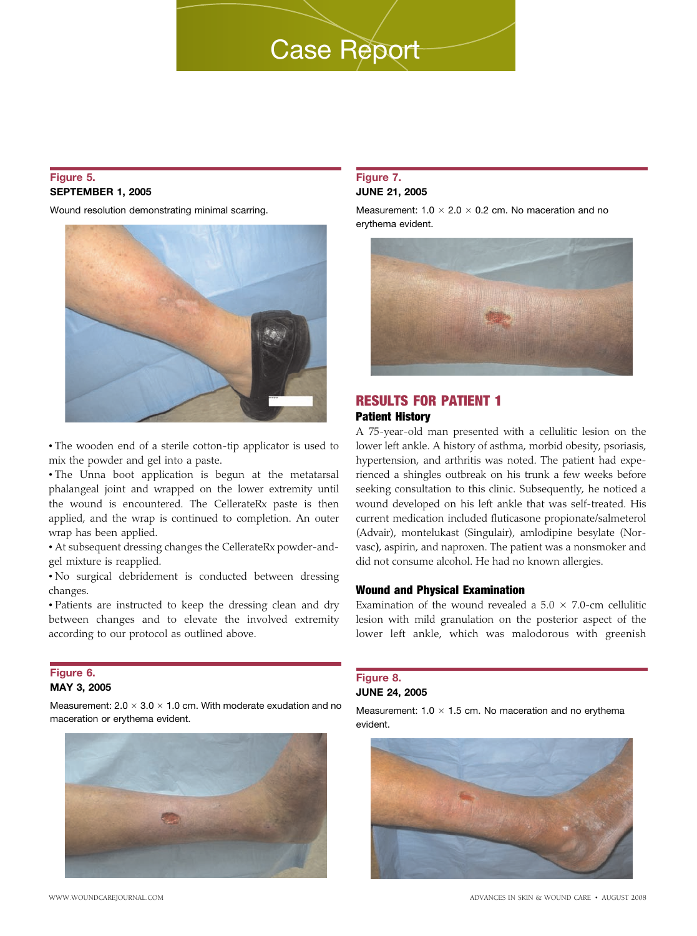#### Figure 5. SEPTEMBER 1, 2005

Wound resolution demonstrating minimal scarring.



& The wooden end of a sterile cotton-tip applicator is used to mix the powder and gel into a paste.

 $\cdot$  The Unna boot application is begun at the metatarsal phalangeal joint and wrapped on the lower extremity until the wound is encountered. The CellerateRx paste is then applied, and the wrap is continued to completion. An outer wrap has been applied.

& At subsequent dressing changes the CellerateRx powder-andgel mixture is reapplied.

& No surgical debridement is conducted between dressing changes.

& Patients are instructed to keep the dressing clean and dry between changes and to elevate the involved extremity according to our protocol as outlined above.

#### Figure 6. MAY 3, 2005

Measurement:  $2.0 \times 3.0 \times 1.0$  cm. With moderate exudation and no maceration or erythema evident.



#### Figure 7. JUNE 21, 2005

Measurement:  $1.0 \times 2.0 \times 0.2$  cm. No maceration and no erythema evident.



#### RESULTS FOR PATIENT 1 Patient History

A 75-year-old man presented with a cellulitic lesion on the lower left ankle. A history of asthma, morbid obesity, psoriasis, hypertension, and arthritis was noted. The patient had experienced a shingles outbreak on his trunk a few weeks before seeking consultation to this clinic. Subsequently, he noticed a wound developed on his left ankle that was self-treated. His current medication included fluticasone propionate/salmeterol (Advair), montelukast (Singulair), amlodipine besylate (Norvasc), aspirin, and naproxen. The patient was a nonsmoker and did not consume alcohol. He had no known allergies.

#### Wound and Physical Examination

Examination of the wound revealed a  $5.0 \times 7.0$ -cm cellulitic lesion with mild granulation on the posterior aspect of the lower left ankle, which was malodorous with greenish

#### Figure 8. JUNE 24, 2005

Measurement:  $1.0 \times 1.5$  cm. No maceration and no erythema evident.

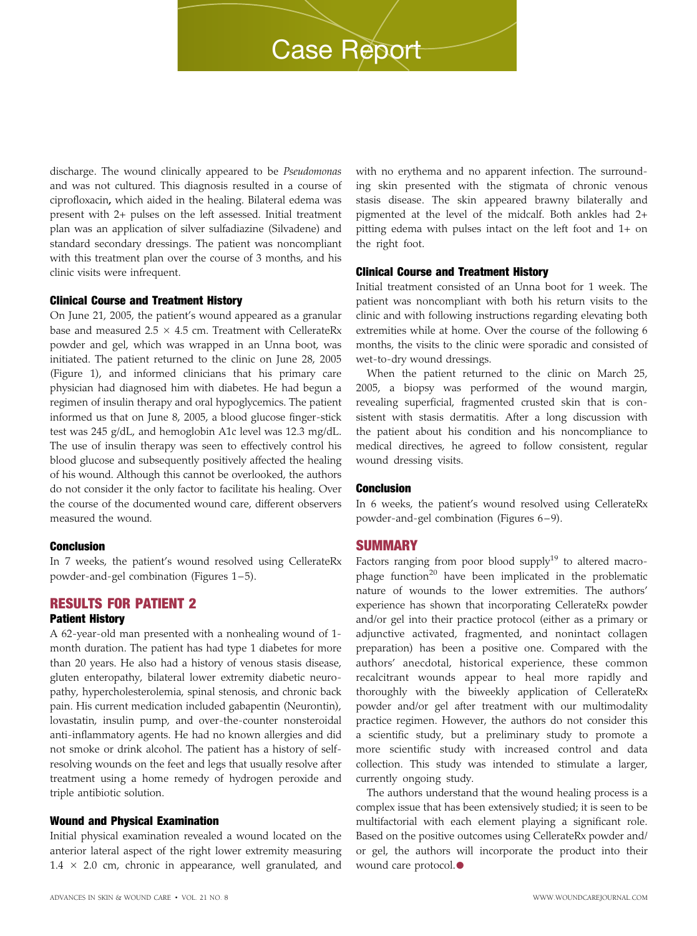discharge. The wound clinically appeared to be Pseudomonas and was not cultured. This diagnosis resulted in a course of ciprofloxacin, which aided in the healing. Bilateral edema was present with 2+ pulses on the left assessed. Initial treatment plan was an application of silver sulfadiazine (Silvadene) and standard secondary dressings. The patient was noncompliant with this treatment plan over the course of 3 months, and his clinic visits were infrequent.

#### Clinical Course and Treatment History

On June 21, 2005, the patient's wound appeared as a granular base and measured 2.5  $\times$  4.5 cm. Treatment with CellerateRx powder and gel, which was wrapped in an Unna boot, was initiated. The patient returned to the clinic on June 28, 2005 (Figure 1), and informed clinicians that his primary care physician had diagnosed him with diabetes. He had begun a regimen of insulin therapy and oral hypoglycemics. The patient informed us that on June 8, 2005, a blood glucose finger-stick test was 245 g/dL, and hemoglobin A1c level was 12.3 mg/dL. The use of insulin therapy was seen to effectively control his blood glucose and subsequently positively affected the healing of his wound. Although this cannot be overlooked, the authors do not consider it the only factor to facilitate his healing. Over the course of the documented wound care, different observers measured the wound.

#### Conclusion

In 7 weeks, the patient's wound resolved using CellerateRx powder-and-gel combination (Figures 1-5).

#### RESULTS FOR PATIENT 2

#### Patient History

A 62-year-old man presented with a nonhealing wound of 1 month duration. The patient has had type 1 diabetes for more than 20 years. He also had a history of venous stasis disease, gluten enteropathy, bilateral lower extremity diabetic neuropathy, hypercholesterolemia, spinal stenosis, and chronic back pain. His current medication included gabapentin (Neurontin), lovastatin, insulin pump, and over-the-counter nonsteroidal anti-inflammatory agents. He had no known allergies and did not smoke or drink alcohol. The patient has a history of selfresolving wounds on the feet and legs that usually resolve after treatment using a home remedy of hydrogen peroxide and triple antibiotic solution.

#### Wound and Physical Examination

Initial physical examination revealed a wound located on the anterior lateral aspect of the right lower extremity measuring  $1.4 \times 2.0$  cm, chronic in appearance, well granulated, and with no erythema and no apparent infection. The surrounding skin presented with the stigmata of chronic venous stasis disease. The skin appeared brawny bilaterally and pigmented at the level of the midcalf. Both ankles had 2+ pitting edema with pulses intact on the left foot and 1+ on the right foot.

#### Clinical Course and Treatment History

Initial treatment consisted of an Unna boot for 1 week. The patient was noncompliant with both his return visits to the clinic and with following instructions regarding elevating both extremities while at home. Over the course of the following 6 months, the visits to the clinic were sporadic and consisted of wet-to-dry wound dressings.

When the patient returned to the clinic on March 25, 2005, a biopsy was performed of the wound margin, revealing superficial, fragmented crusted skin that is consistent with stasis dermatitis. After a long discussion with the patient about his condition and his noncompliance to medical directives, he agreed to follow consistent, regular wound dressing visits.

#### Conclusion

In 6 weeks, the patient's wound resolved using CellerateRx powder-and-gel combination (Figures 6–9).

#### **SUMMARY**

Factors ranging from poor blood supply<sup>19</sup> to altered macrophage function<sup>20</sup> have been implicated in the problematic nature of wounds to the lower extremities. The authors' experience has shown that incorporating CellerateRx powder and/or gel into their practice protocol (either as a primary or adjunctive activated, fragmented, and nonintact collagen preparation) has been a positive one. Compared with the authors' anecdotal, historical experience, these common recalcitrant wounds appear to heal more rapidly and thoroughly with the biweekly application of CellerateRx powder and/or gel after treatment with our multimodality practice regimen. However, the authors do not consider this a scientific study, but a preliminary study to promote a more scientific study with increased control and data collection. This study was intended to stimulate a larger, currently ongoing study.

The authors understand that the wound healing process is a complex issue that has been extensively studied; it is seen to be multifactorial with each element playing a significant role. Based on the positive outcomes using CellerateRx powder and/ or gel, the authors will incorporate the product into their wound care protocol.<sup>●</sup>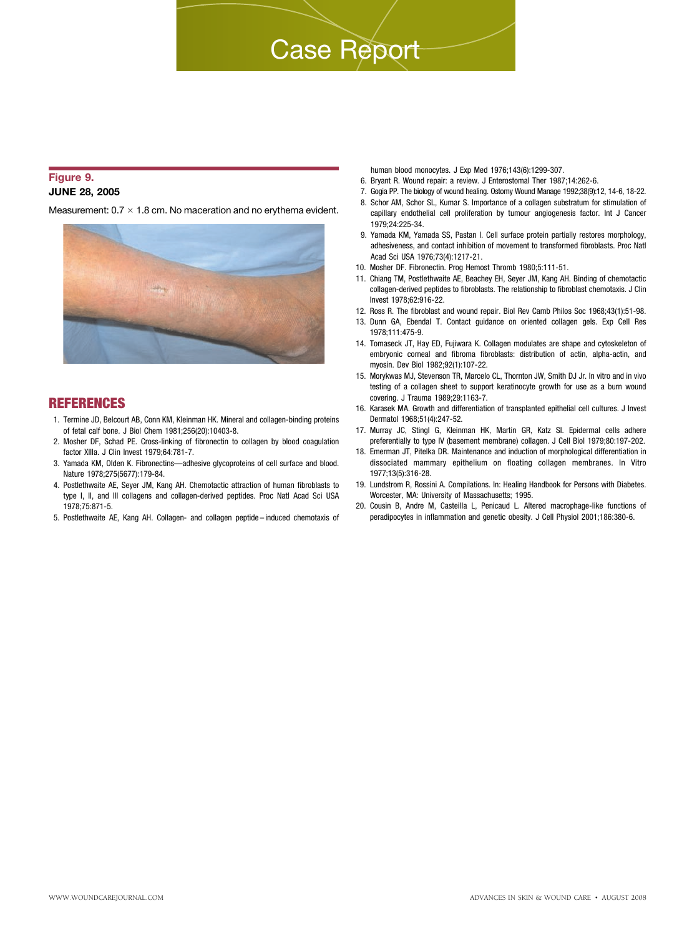#### Figure 9. JUNE 28, 2005

Measurement:  $0.7 \times 1.8$  cm. No maceration and no erythema evident.



#### **REFERENCES**

- 1. Termine JD, Belcourt AB, Conn KM, Kleinman HK. Mineral and collagen-binding proteins of fetal calf bone. J Biol Chem 1981;256(20):10403-8.
- 2. Mosher DF, Schad PE. Cross-linking of fibronectin to collagen by blood coagulation factor XIIIa. J Clin Invest 1979;64:781-7.
- 3. Yamada KM, Olden K. Fibronectins—adhesive glycoproteins of cell surface and blood. Nature 1978;275(5677):179-84.
- 4. Postlethwaite AE, Seyer JM, Kang AH. Chemotactic attraction of human fibroblasts to type I, II, and III collagens and collagen-derived peptides. Proc Natl Acad Sci USA 1978;75:871-5.
- 5. Postlethwaite AE, Kang AH. Collagen- and collagen peptide induced chemotaxis of

human blood monocytes. J Exp Med 1976;143(6):1299-307.

- 6. Bryant R. Wound repair: a review. J Enterostomal Ther 1987;14:262-6.
- 7. Gogia PP. The biology of wound healing. Ostomy Wound Manage 1992;38(9):12, 14-6, 18-22.
- 8. Schor AM, Schor SL, Kumar S. Importance of a collagen substratum for stimulation of capillary endothelial cell proliferation by tumour angiogenesis factor. Int J Cancer 1979;24:225-34.
- 9. Yamada KM, Yamada SS, Pastan I. Cell surface protein partially restores morphology, adhesiveness, and contact inhibition of movement to transformed fibroblasts. Proc Natl Acad Sci USA 1976;73(4):1217-21.
- 10. Mosher DF. Fibronectin. Prog Hemost Thromb 1980;5:111-51.
- 11. Chiang TM, Postlethwaite AE, Beachey EH, Seyer JM, Kang AH. Binding of chemotactic collagen-derived peptides to fibroblasts. The relationship to fibroblast chemotaxis. J Clin Invest 1978;62:916-22.
- 12. Ross R. The fibroblast and wound repair. Biol Rev Camb Philos Soc 1968;43(1):51-98.
- 13. Dunn GA, Ebendal T. Contact guidance on oriented collagen gels. Exp Cell Res 1978;111:475-9.
- 14. Tomaseck JT, Hay ED, Fujiwara K. Collagen modulates are shape and cytoskeleton of embryonic corneal and fibroma fibroblasts: distribution of actin, alpha-actin, and myosin. Dev Biol 1982;92(1):107-22.
- 15. Morykwas MJ, Stevenson TR, Marcelo CL, Thornton JW, Smith DJ Jr. In vitro and in vivo testing of a collagen sheet to support keratinocyte growth for use as a burn wound covering. J Trauma 1989;29:1163-7.
- 16. Karasek MA. Growth and differentiation of transplanted epithelial cell cultures. J Invest Dermatol 1968;51(4):247-52.
- 17. Murray JC, Stingl G, Kleinman HK, Martin GR, Katz SI. Epidermal cells adhere preferentially to type IV (basement membrane) collagen. J Cell Biol 1979;80:197-202.
- 18. Emerman JT, Pitelka DR. Maintenance and induction of morphological differentiation in dissociated mammary epithelium on floating collagen membranes. In Vitro 1977;13(5):316-28.
- 19. Lundstrom R, Rossini A. Compilations. In: Healing Handbook for Persons with Diabetes. Worcester, MA: University of Massachusetts; 1995.
- 20. Cousin B, Andre M, Casteilla L, Penicaud L. Altered macrophage-like functions of peradipocytes in inflammation and genetic obesity. J Cell Physiol 2001;186:380-6.